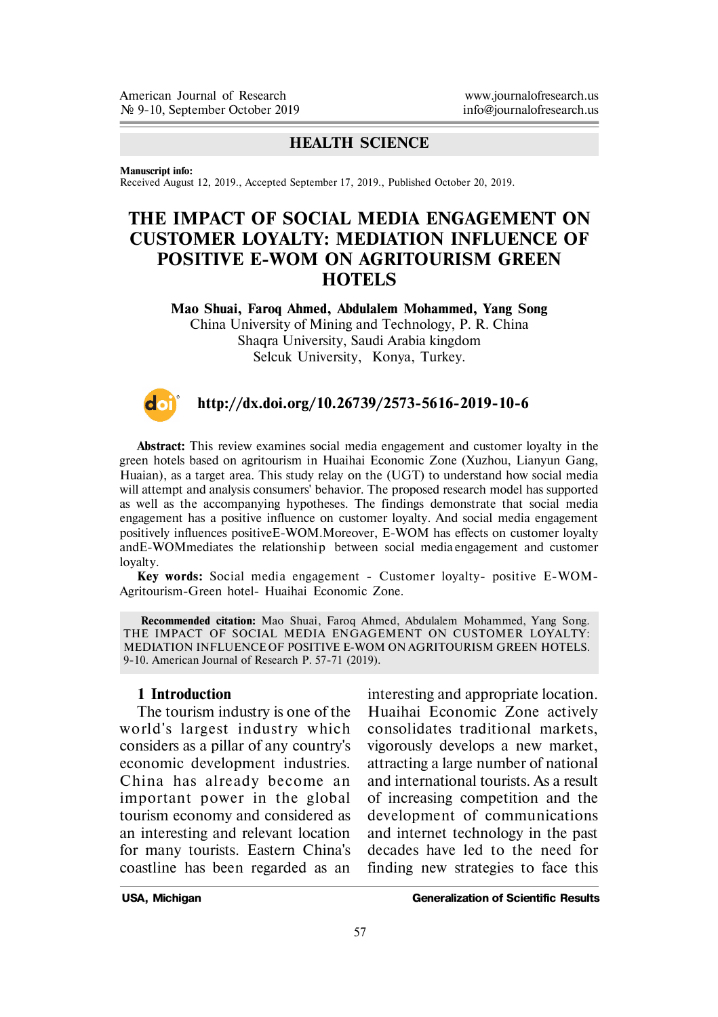# **HEALTH SCIENCE**

**Manuscript info:**

Received August 12, 2019., Accepted September 17, 2019., Published October 20, 2019.

# **THE IMPACT OF SOCIAL MEDIA ENGAGEMENT ON CUSTOMER LOYALTY: MEDIATION INFLUENCE OF POSITIVE E-WOM ON AGRITOURISM GREEN HOTELS**

**Mao Shuai, Faroq Ahmed, Abdulalem Mohammed, Yang Song** China University of Mining and Technology, P. R. China Shaqra University, Saudi Arabia kingdom Selcuk University, Konya, Turkey.



#### **http://dx.doi.org/10.26739/2573-5616-2019-10-6**

**Abstract:** This review examines social media engagement and customer loyalty in the green hotels based on agritourism in Huaihai Economic Zone (Xuzhou, Lianyun Gang, Huaian), as a target area. This study relay on the (UGT) to understand how social media will attempt and analysis consumers' behavior. The proposed research model has supported as well as the accompanying hypotheses. The findings demonstrate that social media engagement has a positive influence on customer loyalty. And social media engagement positively influences positiveE-WOM.Moreover, E-WOM has effects on customer loyalty andE-WOMmediates the relationship between social media engagement and customer loyalty.

**Key words:** Social media engagement - Customer loyalty- positive E-WOM-Agritourism-Green hotel- Huaihai Economic Zone.

**Recommended citation:** Mao Shuai, Faroq Ahmed, Abdulalem Mohammed, Yang Song. THE IMPACT OF SOCIAL MEDIA ENGAGEMENT ON CUSTOMER LOYALTY: MEDIATION INFLUENCE OF POSITIVE E-WOM ON AGRITOURISM GREEN HOTELS. 9-10. American Journal of Research P. 57-71 (2019).

#### **1 Introduction**

The tourism industry is one of the world's largest industry which considers as a pillar of any country's economic development industries. China has already become an important power in the global tourism economy and considered as an interesting and relevant location for many tourists. Eastern China's coastline has been regarded as an

interesting and appropriate location. Huaihai Economic Zone actively consolidates traditional markets, vigorously develops a new market, attracting a large number of national and international tourists. As a result of increasing competition and the development of communications and internet technology in the past decades have led to the need for finding new strategies to face this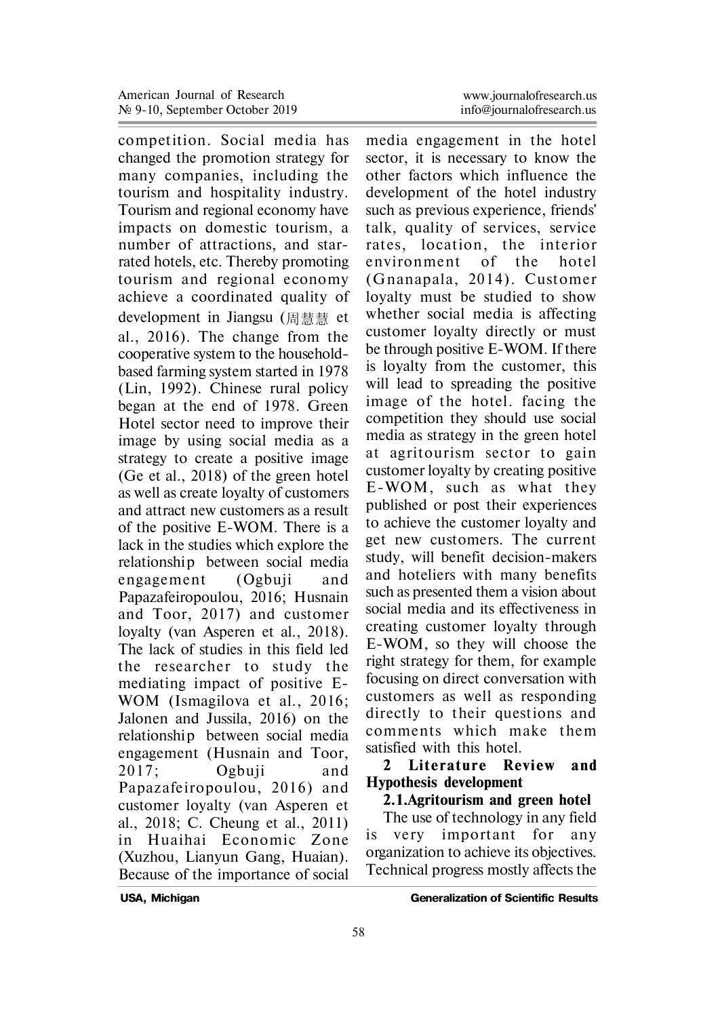competition. Social media has changed the promotion strategy for many companies, including the tourism and hospitality industry. Tourism and regional economy have impacts on domestic tourism, a number of attractions, and starrated hotels, etc. Thereby promoting tourism and regional economy achieve a coordinated quality of development in Jiangsu (周慧慧 et al., 2016). The change from the cooperative system to the householdbased farming system started in 1978 (Lin, 1992). Chinese rural policy began at the end of 1978. Green Hotel sector need to improve their image by using social media as a strategy to create a positive image (Ge et al., 2018) of the green hotel as well as create loyalty of customers and attract new customers as a result of the positive E-WOM. There is a lack in the studies which explore the relationship between social media engagement (Ogbuii and Papazafeiropoulou, 2016; Husnain and Toor, 2017) and customer loyalty (van Asperen et al., 2018). The lack of studies in this field led the researcher to study the mediating impact of positive E-WOM (Ismagilova et al., 2016; Jalonen and Jussila, 2016) on the relationship between social media engagement (Husnain and Toor, 2017 ; Ogbuji and Papazafeiropoulou, 2016) and customer loyalty (van Asperen et al., 2018; C. Cheung et al., 2011) in Huaihai Economic Zone (Xuzhou, Lianyun Gang, Huaian). Because of the importance of social

media engagement in the hotel sector, it is necessary to know the other factors which influence the development of the hotel industry such as previous experience, friends' talk, quality of services, service rates, location, the interior environment of the hotel (Gnanapala, 2014). Customer loyalty must be studied to show whether social media is affecting customer loyalty directly or must be through positive E-WOM. If there is loyalty from the customer, this will lead to spreading the positive image of the hotel, facing the competition they should use social media as strategy in the green hotel at agritourism sector to gain customer loyalty by creating positive E-WOM, such as what they published or post their experiences to achieve the customer loyalty and get new customers. The current study, will benefit decision-makers and hoteliers with many benefits such as presented them a vision about social media and its effectiveness in creating customer loyalty through E-WOM, so they will choose the right strategy for them, for example focusing on direct conversation with customers as well as responding directly to their questions and comments which make them satisfied with this hotel.

#### 2 Literature Review and **Hypothesis development**

# **2.1.Agritourism and green hotel**

The use of technology in any field is very important for any organization to achieve its objectives. Technical progress mostly affects the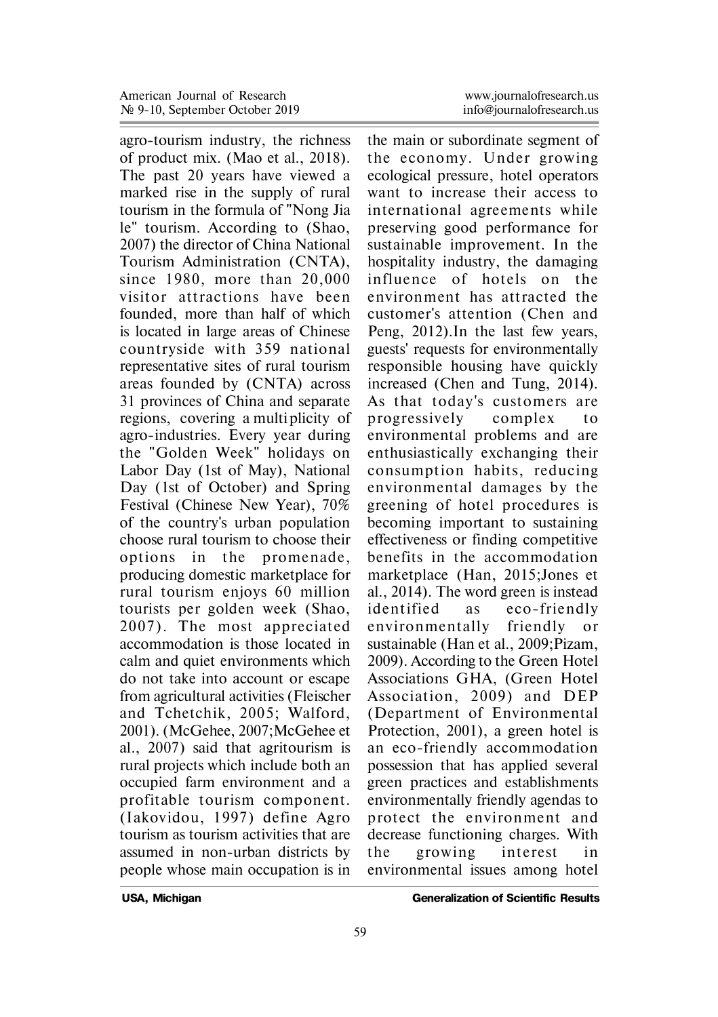agro-tourism industry, the richness of product mix. (Mao et al., 2018). The past 20 years have viewed a marked rise in the supply of rural tourism in the formula of "Nong Jia le" tourism. According to (Shao, 2007) the director of China National Tourism Administration (CNTA), since 1980, more than 20,000 visitor attractions have been founded, more than half of which is located in large areas of Chinese coun tryside with 359 national representative sites of rural tourism areas founded by (CNTA) across 31 provinces of China and separate regions, covering a multi plicity of agro-industries. Every year during the "Golden Week" holidays on Labor Day (1st of May), National Day (1st of October) and Spring Festival (Chinese New Year), 70% of the country's urban population choose rural tourism to choose their options in the promenade. producing domestic marketplace for rural tourism enjoys 60 million tourists per golden week (Shao, 2007). The most appreciated accommodation is those located in calm and quiet environments which do not take into account or escape from agricultural activities (Fleischer and Tchetchik, 2005; Walford, 2001). (McGehee, 2007;McGehee et al., 2007) said that agritourism is rural projects which include both an occupied farm environment and a profitable tourism component. (Iakovidou, 1997) de fine Agro tourism as tourism activities that are assumed in non-urban districts by people whose main occupation is in

the main or subordinate segment of the economy. Under growing ecological pressure, hotel operators want to increase their access to in ternational agreements while preserving good performance for sustainable improvement. In the hospitality industry, the damaging in fluence of hotels on the environment has attracted the customer's attention (Chen and Peng, 2012).In the last few years, guests' requests for environmentally responsible housing have quickly increased (Chen and Tung, 2014). As that today's customers are p rogressively complex to environmental problems and are enthusiastically exchanging their consumption habits, reducing environmental damages by the greening of hotel procedures is becoming important to sustaining effectiveness or finding competitive benefits in the accommodation marketplace (Han, 2015;Jones et al., 2014). The word green is instead identified as eco-friendly environmen tally friendly or sustainable (Han et al., 2009;Pizam, 2009). According to the Green Hotel Associations GHA, (Green Hotel Association, 2009) and DEP (Department of Environmental Protection, 2001), a green hotel is an eco-friendly accommodation possession that has applied several green practices and establishments environmentally friendly agendas to protect the environment and decrease functioning charges. With the growing in terest in environmental issues among hotel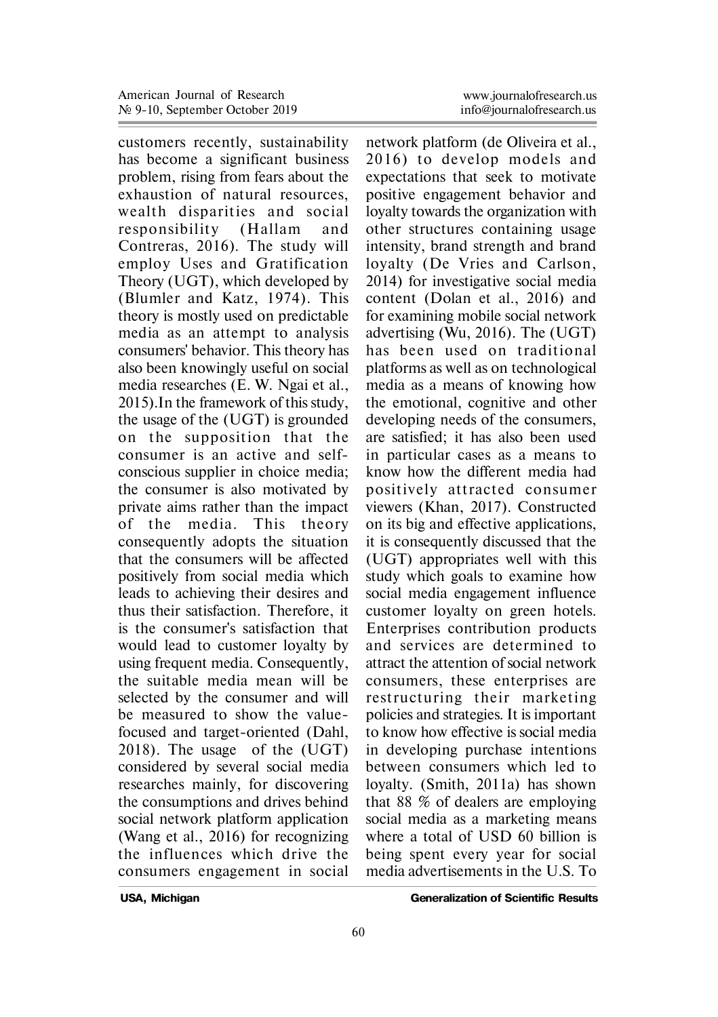customers recently, sustainability has become a significant business problem, rising from fears about the exhaustion of natural resources, wealth disparities and social responsibility (Hallam and Contreras, 2016). The study will employ Uses and Gratification Theory (UGT), which developed by (Blumler and Katz, 1974). This theory is mostly used on predictable media as an attempt to analysis consumers' behavior. This theory has also been knowingly useful on social media researches (E. W. Ngai et al., 2015).In the framework of this study, the usage of the (UGT) is grounded on the supposition that the consumer is an active and selfconscious supplier in choice media; the consumer is also motivated by private aims rather than the impact of the media. This theory consequently adopts the situation that the consumers will be affected positively from social media which leads to achieving their desires and thus their satisfaction. Therefore, it is the consumer's satisfaction that would lead to customer loyalty by using frequent media. Consequently, the suitable media mean will be selected by the consumer and will be measured to show the valuefocused and target-oriented (Dahl, 2018). The usage of the (UGT) considered by several social media researches mainly, for discovering the consumptions and drives behind social network platform application (Wang et al., 2016) for recognizing the influences which drive the consumers engagement in social

network platform (de Oliveira et al., 2016) to develop models and expectations that seek to motivate positive engagement behavior and loyalty towards the organization with other structures containing usage intensity, brand strength and brand loyalty (De Vries and Carlson, 2014) for investigative social media content (Dolan et al., 2016) and for examining mobile social network advertising (Wu, 2016). The (UGT) has been used on traditional platforms as well as on technological media as a means of knowing how the emotional, cognitive and other developing needs of the consumers, are satisfied; it has also been used in particular cases as a means to know how the different media had positively attracted consumer viewers (Khan, 2017). Constructed on its big and effective applications, it is consequently discussed that the (UGT) appropriates well with this study which goals to examine how social media engagement influence customer loyalty on green hotels. Enterprises contribution products and services are determined to attract the attention of social network consumers, these enterprises are rest ructuring their marketing policies and strategies. It is important to know how effective is social media in developing purchase intentions between consumers which led to loyalty. (Smith, 2011a) has shown that 88 % of dealers are employing social media as a marketing means where a total of USD 60 billion is being spent every year for social media advertisements in the U.S. To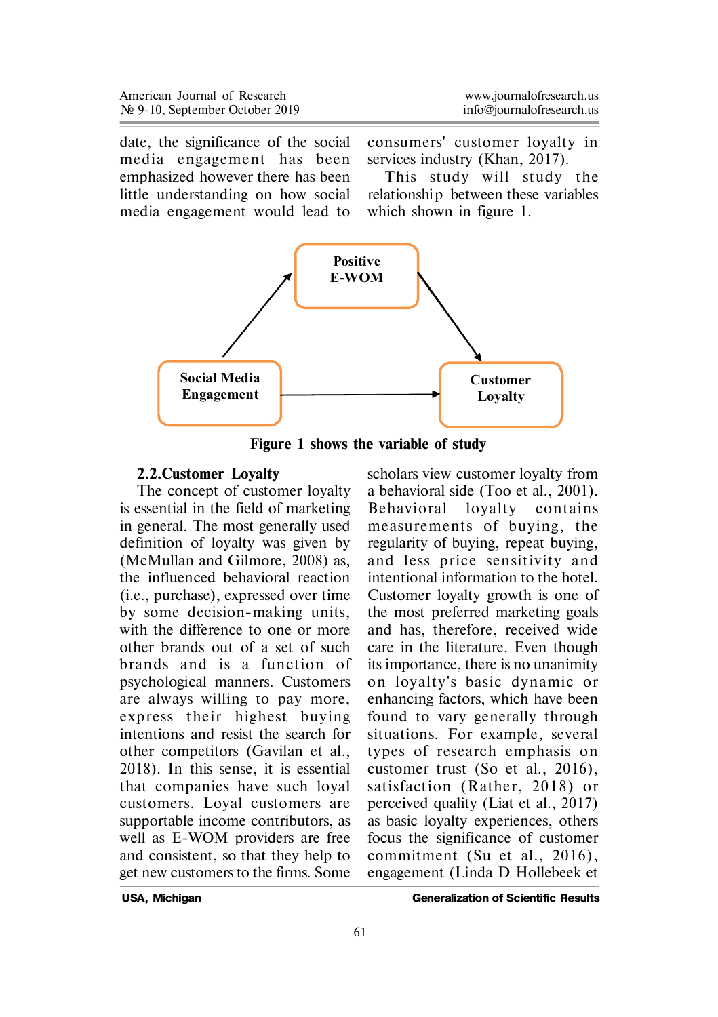date, the significance of the social media engagement has been emphasized however there has been little understanding on how social media engagement would lead to consumers' customer loyalty in services industry (Khan, 2017).

This study will study the relationship between these variables which shown in figure 1.



**Figure 1 shows the variable of study**

#### **2.2.Customer Loyalty**

The concept of customer loyalty is essential in the field of marketing in general. The most generally used definition of loyalty was given by (McMullan and Gilmore, 2008) as, the influenced behavioral reaction (i.e., purchase), expressed over time by some decision-making units, with the difference to one or more other brands out of a set of such brands and is a function of psychological manners. Customers are always willing to pay more, exp ress their highest buying intentions and resist the search for other competitors (Gavilan et al., 2018). In this sense, it is essential that companies have such loyal customers. Loyal customers are supportable income contributors, as well as E-WOM providers are free and consistent, so that they help to get new customers to the firms. Some

scholars view customer loyalty from a behavioral side (Too et al., 2001). Behavioral loyalty contains measurements of buying, the regularity of buying, repeat buying, and less p rice sensitivity and intentional information to the hotel. Customer loyalty growth is one of the most preferred marketing goals and has, therefore, received wide care in the literature. Even though its importance, there is no unanimity on loyalty's basic dynamic or enhancing factors, which have been found to vary generally through situations. For example, several types of research emphasis on customer trust (So et al., 2016), satisfaction (Rather, 2018) or perceived quality (Liat et al., 2017) as basic loyalty experiences, others focus the significance of customer commitment (Su et al., 2016), engagement (Linda D Hollebeek et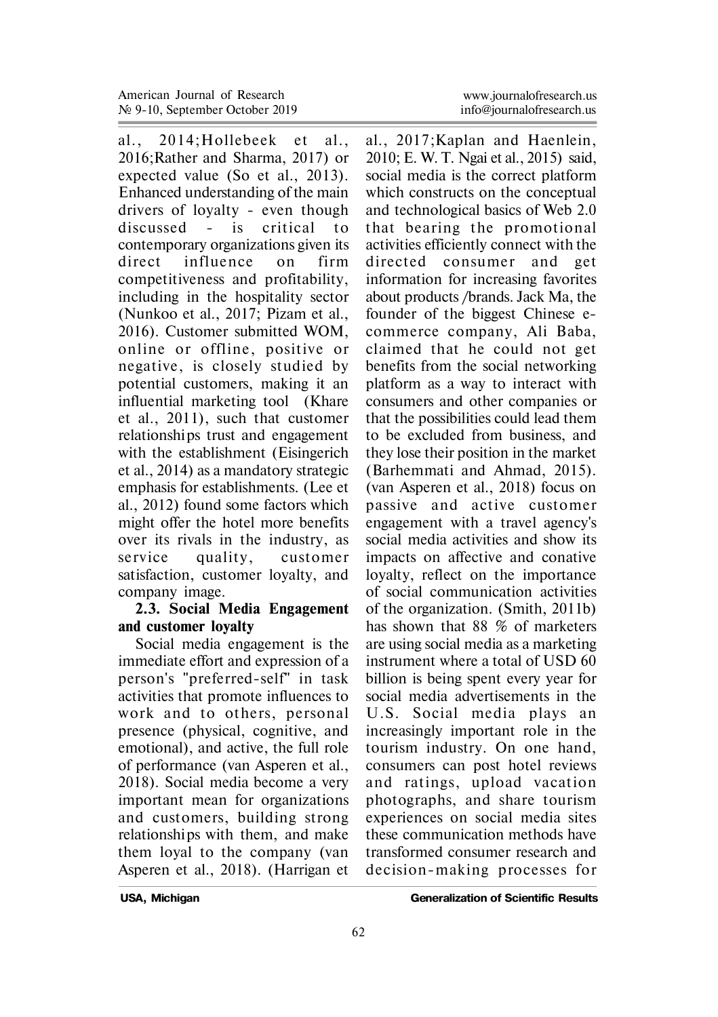al., 2014: Hollebeek et al., 2016;Rather and Sharma, 2017) or expected value (So et al., 2013). Enhanced understanding of the main drivers of loyalty - even though discussed - is critical to contemporary organizations given its direct influence on firm competitiveness and profitability, including in the hospitality sector (Nunkoo et al., 2017; Pizam et al., 2016). Customer submitted WOM, online or offline, positive or negative, is closely studied by potential customers, making it an influential marketing tool (Khare et al., 2011), such that customer relationships trust and engagement with the establishment (Eisingerich et al., 2014) as a mandatory strategic emphasis for establishments. (Lee et al., 2012) found some factors which might offer the hotel more benefits over its rivals in the industry, as service quality, customer satisfaction, customer loyalty, and company image.

# **2.3. Social Media Engagement and customer loyalty**

Social media engagement is the immediate effort and expression of a person's "preferred-self" in task activities that promote influences to work and to others, personal presence (physical, cognitive, and emotional), and active, the full role of performance (van Asperen et al., 2018). Social media become a very important mean for organizations and customers, building strong relationships with them, and make them loyal to the company (van Asperen et al., 2018). (Harrigan et

al., 2017;Kaplan and Haenlein, 2010; E. W. T. Ngai et al., 2015) said, social media is the correct platform which constructs on the conceptual and technological basics of Web 2.0 that bearing the promotional activities efficiently connect with the directed consumer and get information for increasing favorites about products /brands. Jack Ma, the founder of the biggest Chinese ecommerce company, Ali Baba, claimed that he could not get benefits from the social networking platform as a way to interact with consumers and other companies or that the possibilities could lead them to be excluded from business, and they lose their position in the market (Barhemmati and Ahmad, 2015). (van Asperen et al., 2018) focus on passive and active customer engagement with a travel agency's social media activities and show its impacts on affective and conative loyalty, reflect on the importance of social communication activities of the organization. (Smith, 2011b) has shown that 88 % of marketers are using social media as a marketing instrument where a total of USD 60 billion is being spent every year for social media advertisements in the U.S. Social media plays an increasingly important role in the tourism industry. On one hand, consumers can post hotel reviews and ratings, upload vacation photographs, and share tourism experiences on social media sites these communication methods have transformed consumer research and decision-making processes for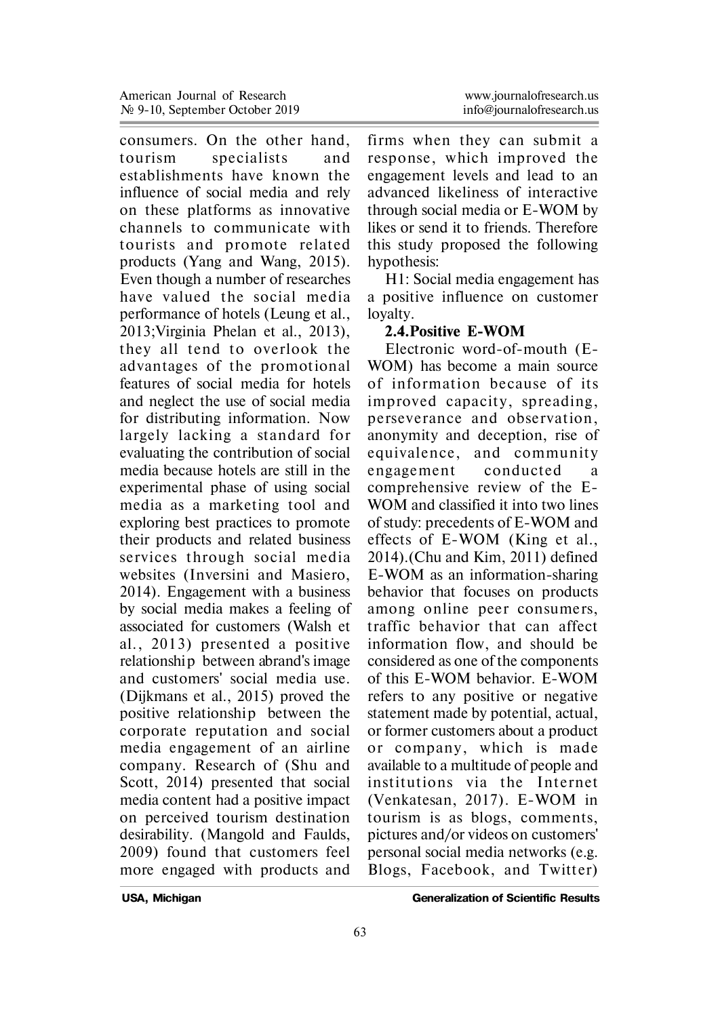consumers. On the other hand, tourism specialists and establishments have known the influence of social media and rely on these platforms as innovative channels to communicate with tourists and promote related products (Yang and Wang, 2015). Even though a number of researches have valued the social media performance of hotels (Leung et al., 2013;Virginia Phelan et al., 2013), they all tend to overlook the advantages of the promotional features of social media for hotels and neglect the use of social media for distributing information. Now largely lacking a standard for evaluating the contribution of social media because hotels are still in the experimental phase of using social media as a marketing tool and exploring best practices to promote their products and related business services through social media websites (Inversini and Masiero, 2014). Engagement with a business by social media makes a feeling of associated for customers (Walsh et al., 2013) presented a positive relationship between abrand's image and customers' social media use. (Dijkmans et al., 2015) proved the positive relationship between the corporate reputation and social media engagement of an airline company. Research of (Shu and Scott, 2014) presented that social media content had a positive impact on perceived tourism destination desirability. (Mangold and Faulds, 2009) found that customers feel more engaged with products and

firms when they can submit a response, which improved the engagement levels and lead to an advanced likeliness of interactive through social media or E-WOM by likes or send it to friends. Therefore this study proposed the following hypothesis:

H1: Social media engagement has a positive influence on customer loyalty.

#### **2.4.Positive E-WOM**

Electronic word-of-mouth (E-WOM) has become a main source of information because of its improved capacity, spreading, perseverance and observation. anonymity and deception, rise of equivalence, and community engagement conducted a comprehensive review of the E-WOM and classified it into two lines of study: precedents of E-WOM and effects of E-WOM (King et al., 2014).(Chu and Kim, 2011) defined E-WOM as an information-sharing behavior that focuses on products among online peer consumers, traffic behavior that can affect information flow, and should be considered as one of the components of this E-WOM behavior. E-WOM refers to any positive or negative statement made by potential, actual, or former customers about a product or company, which is made available to a multitude of people and institu tions via the In ternet (Venkatesan, 2017). E-WOM in tourism is as blogs, comments, pictures and/or videos on customers' personal social media networks (e.g. Blogs, Facebook, and Twitter)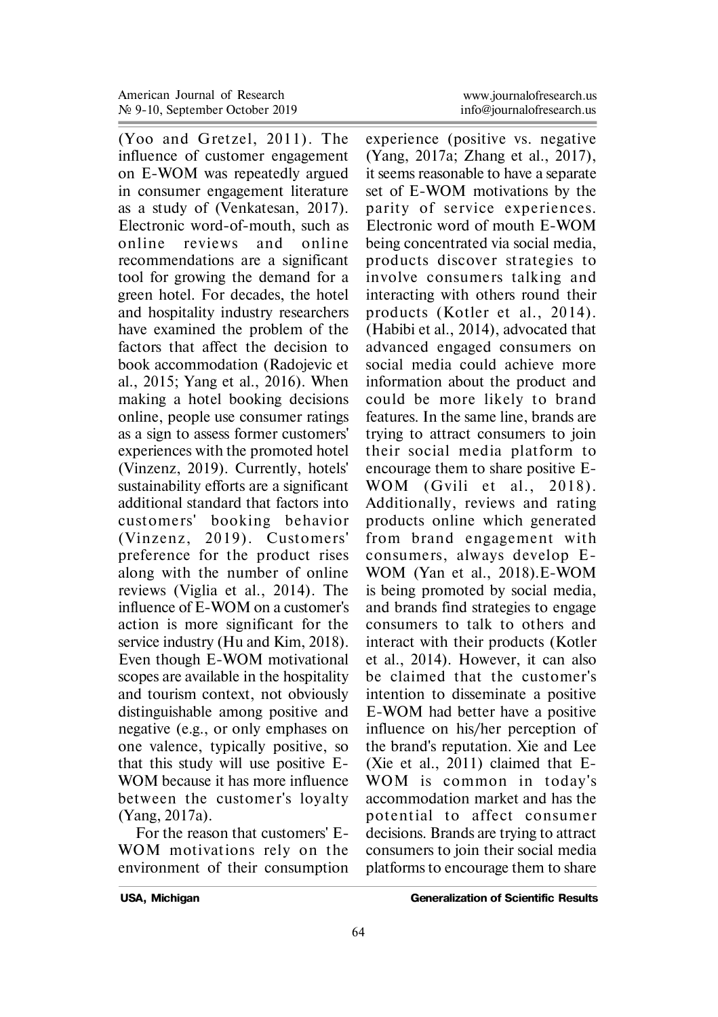(Yoo and Gretzel, 2011). The influence of customer engagement on E-WOM was repeatedly argued in consumer engagement literature as a study of (Venkatesan, 2017). Electronic word-of-mouth, such as online reviews and online recommendations are a significant tool for growing the demand for a green hotel. For decades, the hotel and hospitality industry researchers have examined the problem of the factors that affect the decision to book accommodation (Radojevic et al., 2015; Yang et al., 2016). When making a hotel booking decisions online, people use consumer ratings as a sign to assess former customers' experiences with the promoted hotel (Vinzenz, 2019). Currently, hotels' sustainability efforts are a significant additional standard that factors into customers' booking behavior (Vinzenz, 2019). Customers' preference for the product rises along with the number of online reviews (Viglia et al., 2014). The influence of E-WOM on a customer's action is more significant for the service industry (Hu and Kim, 2018). Even though E-WOM motivational scopes are available in the hospitality and tourism context, not obviously distinguishable among positive and negative (e.g., or only emphases on one valence, typically positive, so that this study will use positive E-WOM because it has more influence between the customer's loyalty (Yang, 2017a).

For the reason that customers' E-WOM motivations rely on the environment of their consumption experience (positive vs. negative (Yang, 2017a; Zhang et al., 2017), it seems reasonable to have a separate set of E-WOM motivations by the parity of service experiences. Electronic word of mouth E-WOM being concentrated via social media, products discover st rategies to involve consumers talking and interacting with others round their products (Kotler et al., 2014). (Habibi et al., 2014), advocated that advanced engaged consumers on social media could achieve more information about the product and could be more likely to brand features. In the same line, brands are trying to attract consumers to join their social media platform to encourage them to share positive E-WOM  $(Gvili et al., 2018).$ Additionally, reviews and rating products online which generated from brand engagement with consumers, always develop E-WOM (Yan et al., 2018).E-WOM is being promoted by social media, and brands find strategies to engage consumers to talk to others and interact with their products (Kotler et al., 2014). However, it can also be claimed that the customer's intention to disseminate a positive E-WOM had better have a positive influence on his/her perception of the brand's reputation. Xie and Lee (Xie et al., 2011) claimed that E-WOM is common in today's accommodation market and has the po ten tial to affect consumer decisions. Brands are trying to attract consumers to join their social media platforms to encourage them to share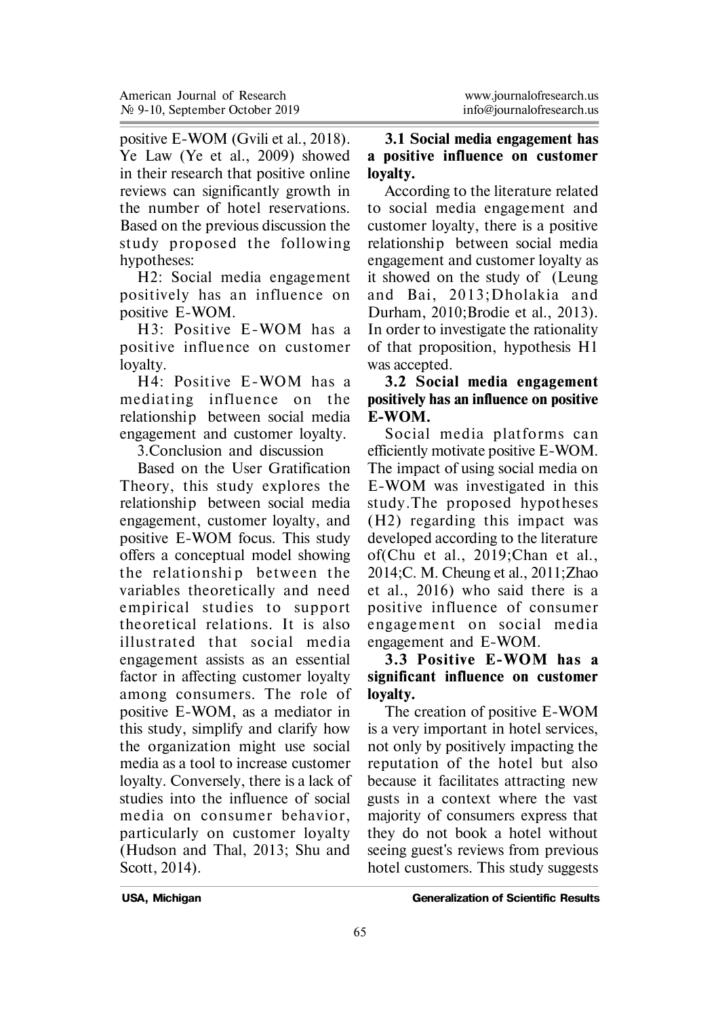positive E-WOM (Gvili et al., 2018). Ye Law (Ye et al., 2009) showed in their research that positive online reviews can significantly growth in the number of hotel reservations. Based on the previous discussion the study proposed the following hypotheses:

H2: Social media engagement positively has an influence on positive E-WOM.

H3: Positive E-WOM has a positive influence on customer loyalty.

H4: Positive E-WOM has a mediating in fluence on the relationship between social media engagement and customer loyalty.

3.Conclusion and discussion

Based on the User Gratification Theory, this study explores the relationship between social media engagement, customer loyalty, and positive E-WOM focus. This study offers a conceptual model showing the relationship between the variables theoretically and need empirical studies to support theoretical relations. It is also illust rated that social media engagement assists as an essential factor in affecting customer loyalty among consumers. The role of positive E-WOM, as a mediator in this study, simplify and clarify how the organization might use social media as a tool to increase customer loyalty. Conversely, there is a lack of studies into the influence of social media on consumer behavior, particularly on customer loyalty (Hudson and Thal, 2013; Shu and Scott, 2014).

### **3.1 Social media engagement has a positive influence on customer loyalty.**

According to the literature related to social media engagement and customer loyalty, there is a positive relationship between social media engagement and customer loyalty as it showed on the study of (Leung and Bai, 2013: Dholakia and Durham, 2010;Brodie et al., 2013). In order to investigate the rationality of that proposition, hypothesis H1 was accepted.

### **3.2 Social media engagement positively has an influence on positive E-WOM.**

Social media platforms can efficiently motivate positive E-WOM. The impact of using social media on E-WOM was investigated in this study.The proposed hypotheses (H2) regarding this impact was developed according to the literature of(Chu et al., 2019;Chan et al., 2014;C. M. Cheung et al., 2011;Zhao et al., 2016) who said there is a positive in fluence of consumer engagement on social media engagement and E-WOM.

# **3.3 Positive E-WOM has a significant influence on customer loyalty.**

The creation of positive E-WOM is a very important in hotel services, not only by positively impacting the reputation of the hotel but also because it facilitates attracting new gusts in a context where the vast majority of consumers express that they do not book a hotel without seeing guest's reviews from previous hotel customers. This study suggests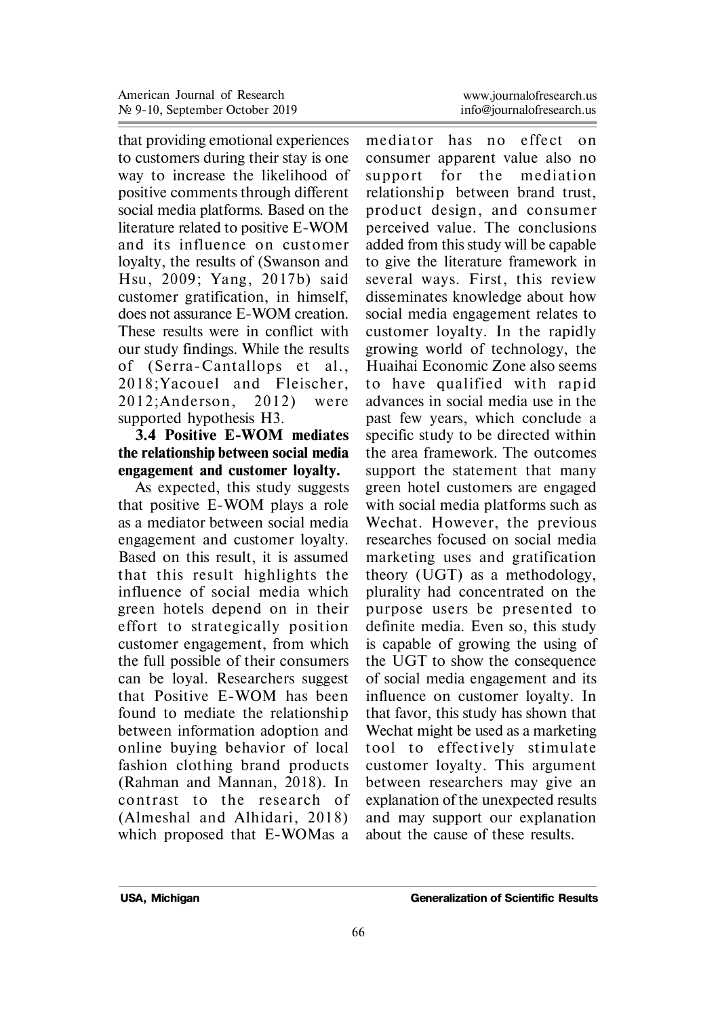that providing emotional experiences to customers during their stay is one way to increase the likelihood of positive comments through different social media platforms. Based on the literature related to positive E-WOM and its in fluence on customer loyalty, the results of (Swanson and Hsu, 2009; Yang, 2017b) said customer gratification, in himself, does not assurance E-WOM creation. These results were in conflict with our study findings. While the results of (Serra-Cantallops et al., 2018: Yacouel and Fleischer, 2012: Anderson, 2012) were supported hypothesis H3.

# **3.4 Positive E-WOM mediates the relationship between social media engagement and customer loyalty.**

As expected, this study suggests that positive E-WOM plays a role as a mediator between social media engagement and customer loyalty. Based on this result, it is assumed that this result highlights the influence of social media which green hotels depend on in their e ffort to st rategically position customer engagement, from which the full possible of their consumers can be loyal. Researchers suggest that Positive E-WOM has been found to mediate the relationship between information adoption and online buying behavior of local fashion clothing brand products (Rahman and Mannan, 2018). In contrast to the research of (Almeshal and Alhidari, 2018) which proposed that E-WOMas a

mediator has no effect on consumer apparent value also no support for the mediation relationship between brand trust, product design, and consumer perceived value. The conclusions added from this study will be capable to give the literature framework in several ways. First, this review disseminates knowledge about how social media engagement relates to customer loyalty. In the rapidly growing world of technology, the Huaihai Economic Zone also seems to have qualified with rapid advances in social media use in the past few years, which conclude a specific study to be directed within the area framework. The outcomes support the statement that many green hotel customers are engaged with social media platforms such as Wechat. However, the previous researches focused on social media marketing uses and gratification theory (UGT) as a methodology, plurality had concentrated on the purpose users be presented to definite media. Even so, this study is capable of growing the using of the UGT to show the consequence of social media engagement and its influence on customer loyalty. In that favor, this study has shown that Wechat might be used as a marketing tool to effectively stimulate customer loyalty. This argument between researchers may give an explanation of the unexpected results and may support our explanation about the cause of these results.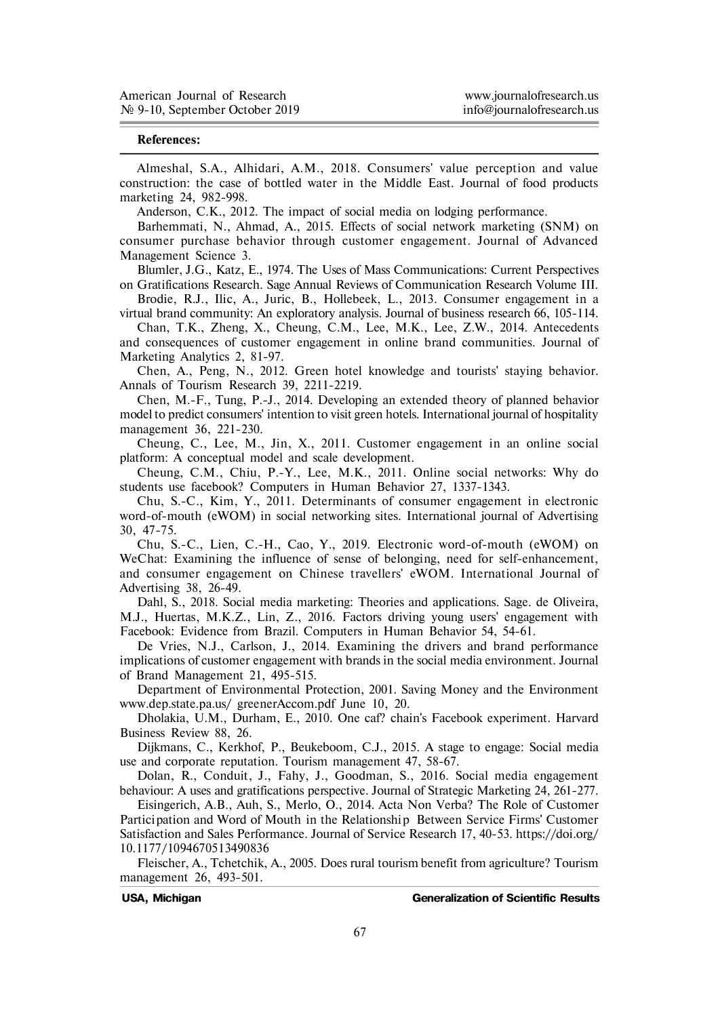#### **References:**

Almeshal, S.A., Alhidari, A.M., 2018. Consumers' value perception and value construction: the case of bottled water in the Middle East. Journal of food products marketing 24, 982-998.

Anderson, C.K., 2012. The impact of social media on lodging performance.

Barhemmati, N., Ahmad, A., 2015. Effects of social network marketing (SNM) on consumer purchase behavior through customer engagement. Journal of Advanced Management Science 3.

Blumler, J.G., Katz, E., 1974. The Uses of Mass Communications: Current Perspectives on Gratifications Research. Sage Annual Reviews of Communication Research Volume III.

Brodie, R.J., Ilic, A., Juric, B., Hollebeek, L., 2013. Consumer engagement in a virtual brand community: An exploratory analysis. Journal of business research 66, 105-114.

Chan, T.K., Zheng, X., Cheung, C.M., Lee, M.K., Lee, Z.W., 2014. Antecedents and consequences of customer engagement in online brand communities. Journal of Marketing Analytics 2, 81-97.

Chen, A., Peng, N., 2012. Green hotel knowledge and tourists' staying behavior. Annals of Tourism Research 39, 2211-2219.

Chen, M.-F., Tung, P.-J., 2014. Developing an extended theory of planned behavior model to predict consumers' intention to visit green hotels. International journal of hospitality management 36, 221-230.

Cheung, C., Lee, M., Jin, X., 2011. Customer engagement in an online social platform: A conceptual model and scale development.

Cheung, C.M., Chiu, P.-Y., Lee, M.K., 2011. Online social networks: Why do students use facebook? Computers in Human Behavior 27, 1337-1343.

Chu, S.-C., Kim, Y., 2011. Determinants of consumer engagement in electronic word-of-mouth (eWOM) in social networking sites. International journal of Advertising 30, 47-75.

Chu, S.-C., Lien, C.-H., Cao, Y., 2019. Electronic word-of-mouth (eWOM) on WeChat: Examining the influence of sense of belonging, need for self-enhancement, and consumer engagement on Chinese travellers' eWOM. International Journal of Advertising 38, 26-49.

Dahl, S., 2018. Social media marketing: Theories and applications. Sage. de Oliveira, M.J., Huertas, M.K.Z., Lin, Z., 2016. Factors driving young users' engagement with Facebook: Evidence from Brazil. Computers in Human Behavior 54, 54-61.

De Vries, N.J., Carlson, J., 2014. Examining the drivers and brand performance implications of customer engagement with brands in the social media environment. Journal of Brand Management 21, 495-515.

Department of Environmental Protection, 2001. Saving Money and the Environment www.dep.state.pa.us/ greenerAccom.pdf June 10, 20.

Dholakia, U.M., Durham, E., 2010. One caf? chain's Facebook experiment. Harvard Business Review 88, 26.

Dijkmans, C., Kerkhof, P., Beukeboom, C.J., 2015. A stage to engage: Social media use and corporate reputation. Tourism management 47, 58-67.

Dolan, R., Conduit, J., Fahy, J., Goodman, S., 2016. Social media engagement behaviour: A uses and gratifications perspective. Journal of Strategic Marketing 24, 261-277.

Eisingerich, A.B., Auh, S., Merlo, O., 2014. Acta Non Verba? The Role of Customer Partici pation and Word of Mouth in the Relationship Between Service Firms' Customer Satisfaction and Sales Performance. Journal of Service Research 17, 40-53. https://doi.org/ 10.1177/1094670513490836

Fleischer, A., Tchetchik, A., 2005. Does rural tourism benefit from agriculture? Tourism management 26, 493-501.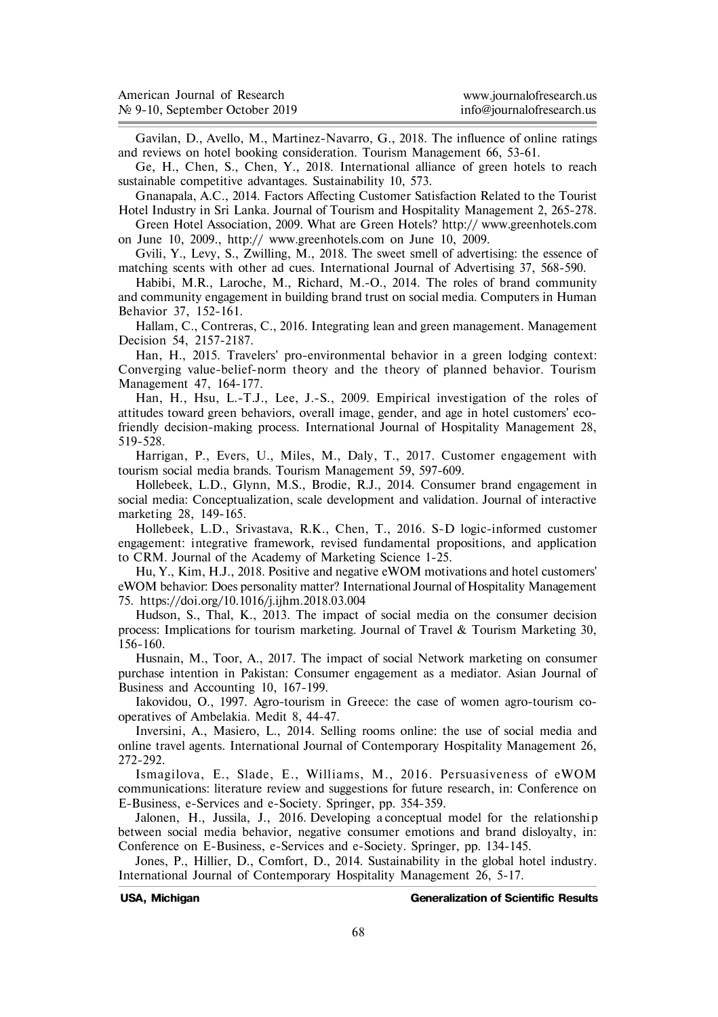| American Journal of Research   | www.journalofresearch.us  |
|--------------------------------|---------------------------|
| № 9-10, September October 2019 | info@iournalofresearch.us |

Gavilan, D., Avello, M., Martinez-Navarro, G., 2018. The influence of online ratings and reviews on hotel booking consideration. Tourism Management 66, 53-61.

Ge, H., Chen, S., Chen, Y., 2018. International alliance of green hotels to reach sustainable competitive advantages. Sustainability 10, 573.

Gnanapala, A.C., 2014. Factors Affecting Customer Satisfaction Related to the Tourist Hotel Industry in Sri Lanka. Journal of Tourism and Hospitality Management 2, 265-278.

Green Hotel Association, 2009. What are Green Hotels? http:// www.greenhotels.com on June 10, 2009., http:// www.greenhotels.com on June 10, 2009.

Gvili, Y., Levy, S., Zwilling, M., 2018. The sweet smell of advertising: the essence of matching scents with other ad cues. International Journal of Advertising 37, 568-590.

Habibi, M.R., Laroche, M., Richard, M.-O., 2014. The roles of brand community and community engagement in building brand trust on social media. Computers in Human Behavior 37, 152-161.

Hallam, C., Contreras, C., 2016. Integrating lean and green management. Management Decision 54, 2157-2187.

Han, H., 2015. Travelers' pro-environmental behavior in a green lodging context: Converging value-belief-norm theory and the theory of planned behavior. Tourism Management 47, 164-177.

Han, H., Hsu, L.-T.J., Lee, J.-S., 2009. Empirical investigation of the roles of attitudes toward green behaviors, overall image, gender, and age in hotel customers' ecofriendly decision-making process. International Journal of Hospitality Management 28, 519-528.

Harrigan, P., Evers, U., Miles, M., Daly, T., 2017. Customer engagement with tourism social media brands. Tourism Management 59, 597-609.

Hollebeek, L.D., Glynn, M.S., Brodie, R.J., 2014. Consumer brand engagement in social media: Conceptualization, scale development and validation. Journal of interactive marketing 28, 149-165.

Hollebeek, L.D., Srivastava, R.K., Chen, T., 2016. S-D logic-informed customer engagement: integrative framework, revised fundamental propositions, and application to CRM. Journal of the Academy of Marketing Science 1-25.

Hu, Y., Kim, H.J., 2018. Positive and negative eWOM motivations and hotel customers' eWOM behavior: Does personality matter? International Journal of Hospitality Management 75. https://doi.org/10.1016/j.ijhm.2018.03.004

Hudson, S., Thal, K., 2013. The impact of social media on the consumer decision process: Implications for tourism marketing. Journal of Travel & Tourism Marketing 30, 156-160.

Husnain, M., Toor, A., 2017. The impact of social Network marketing on consumer purchase intention in Pakistan: Consumer engagement as a mediator. Asian Journal of Business and Accounting 10, 167-199.

Iakovidou, O., 1997. Agro-tourism in Greece: the case of women agro-tourism cooperatives of Ambelakia. Medit 8, 44-47.

Inversini, A., Masiero, L., 2014. Selling rooms online: the use of social media and online travel agents. International Journal of Contemporary Hospitality Management 26, 272-292.

Ismagilova, E., Slade, E., Williams, M., 2016. Persuasiveness of eWOM communications: literature review and suggestions for future research, in: Conference on E-Business, e-Services and e-Society. Springer, pp. 354-359.

Jalonen, H., Jussila, J., 2016. Developing a conceptual model for the relationship between social media behavior, negative consumer emotions and brand disloyalty, in: Conference on E-Business, e-Services and e-Society. Springer, pp. 134-145.

Jones, P., Hillier, D., Comfort, D., 2014. Sustainability in the global hotel industry. International Journal of Contemporary Hospitality Management 26, 5-17.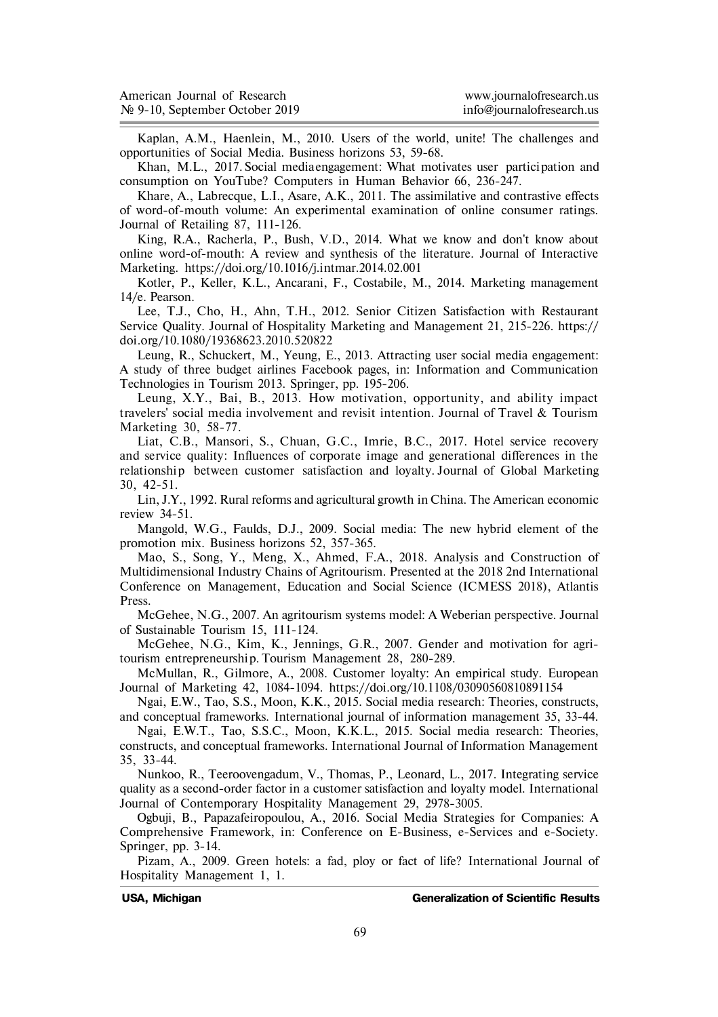| American Journal of Research               | www.journalofresearch.us  |
|--------------------------------------------|---------------------------|
| $\mathcal{N}$ 9-10, September October 2019 | info@iournalofresearch.us |

Kaplan, A.M., Haenlein, M., 2010. Users of the world, unite! The challenges and opportunities of Social Media. Business horizons 53, 59-68.

Khan, M.L., 2017. Social media engagement: What motivates user partici pation and consumption on YouTube? Computers in Human Behavior 66, 236-247.

Khare, A., Labrecque, L.I., Asare, A.K., 2011. The assimilative and contrastive effects of word-of-mouth volume: An experimental examination of online consumer ratings. Journal of Retailing 87, 111-126.

King, R.A., Racherla, P., Bush, V.D., 2014. What we know and don't know about online word-of-mouth: A review and synthesis of the literature. Journal of Interactive Marketing. https://doi.org/10.1016/j.intmar.2014.02.001

Kotler, P., Keller, K.L., Ancarani, F., Costabile, M., 2014. Marketing management 14/e. Pearson.

Lee, T.J., Cho, H., Ahn, T.H., 2012. Senior Citizen Satisfaction with Restaurant Service Quality. Journal of Hospitality Marketing and Management 21, 215-226. https:// doi.org/10.1080/19368623.2010.520822

Leung, R., Schuckert, M., Yeung, E., 2013. Attracting user social media engagement: A study of three budget airlines Facebook pages, in: Information and Communication Technologies in Tourism 2013. Springer, pp. 195-206.

Leung, X.Y., Bai, B., 2013. How motivation, opportunity, and ability impact travelers' social media involvement and revisit intention. Journal of Travel & Tourism Marketing 30, 58-77.

Liat, C.B., Mansori, S., Chuan, G.C., Imrie, B.C., 2017. Hotel service recovery and service quality: Influences of corporate image and generational differences in the relationship between customer satisfaction and loyalty. Journal of Global Marketing 30, 42-51.

Lin, J.Y., 1992. Rural reforms and agricultural growth in China. The American economic review 34-51.

Mangold, W.G., Faulds, D.J., 2009. Social media: The new hybrid element of the promotion mix. Business horizons 52, 357-365.

Mao, S., Song, Y., Meng, X., Ahmed, F.A., 2018. Analysis and Construction of Multidimensional Industry Chains of Agritourism. Presented at the 2018 2nd International Conference on Management, Education and Social Science (ICMESS 2018), Atlantis Press.

McGehee, N.G., 2007. An agritourism systems model: A Weberian perspective. Journal of Sustainable Tourism 15, 111-124.

McGehee, N.G., Kim, K., Jennings, G.R., 2007. Gender and motivation for agritourism entrepreneurship. Tourism Management 28, 280-289.

McMullan, R., Gilmore, A., 2008. Customer loyalty: An empirical study. European Journal of Marketing 42, 1084-1094. https://doi.org/10.1108/03090560810891154

Ngai, E.W., Tao, S.S., Moon, K.K., 2015. Social media research: Theories, constructs, and conceptual frameworks. International journal of information management 35, 33-44.

Ngai, E.W.T., Tao, S.S.C., Moon, K.K.L., 2015. Social media research: Theories, constructs, and conceptual frameworks. International Journal of Information Management 35, 33-44.

Nunkoo, R., Teeroovengadum, V., Thomas, P., Leonard, L., 2017. Integrating service quality as a second-order factor in a customer satisfaction and loyalty model. International Journal of Contemporary Hospitality Management 29, 2978-3005.

Ogbuji, B., Papazafeiropoulou, A., 2016. Social Media Strategies for Companies: A Comprehensive Framework, in: Conference on E-Business, e-Services and e-Society. Springer, pp. 3-14.

Pizam, A., 2009. Green hotels: a fad, ploy or fact of life? International Journal of Hospitality Management 1, 1.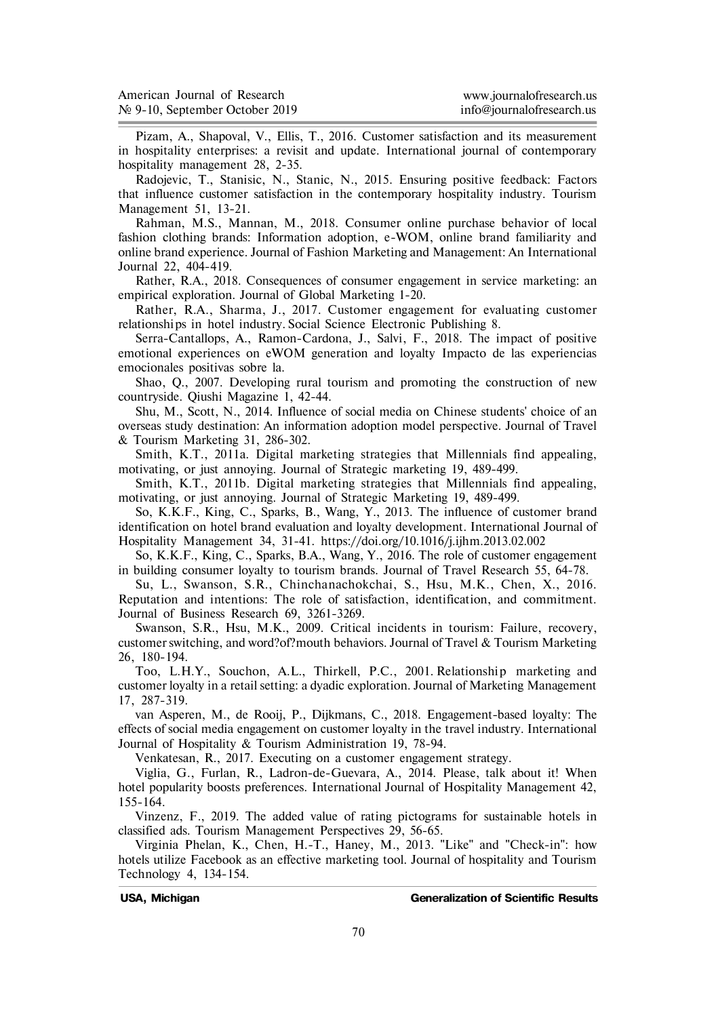| American Journal of Research   | www.journalofresearch.us  |
|--------------------------------|---------------------------|
| № 9-10, September October 2019 | info@iournalofresearch.us |

Pizam, A., Shapoval, V., Ellis, T., 2016. Customer satisfaction and its measurement in hospitality enterprises: a revisit and update. International journal of contemporary hospitality management 28, 2-35.

Radojevic, T., Stanisic, N., Stanic, N., 2015. Ensuring positive feedback: Factors that influence customer satisfaction in the contemporary hospitality industry. Tourism Management 51, 13-21.

Rahman, M.S., Mannan, M., 2018. Consumer online purchase behavior of local fashion clothing brands: Information adoption, e-WOM, online brand familiarity and online brand experience. Journal of Fashion Marketing and Management: An International Journal 22, 404-419.

Rather, R.A., 2018. Consequences of consumer engagement in service marketing: an empirical exploration. Journal of Global Marketing 1-20.

Rather, R.A., Sharma, J., 2017. Customer engagement for evaluating customer relationships in hotel industry. Social Science Electronic Publishing 8.

Serra-Cantallops, A., Ramon-Cardona, J., Salvi, F., 2018. The impact of positive emotional experiences on eWOM generation and loyalty Impacto de las experiencias emocionales positivas sobre la.

Shao, Q., 2007. Developing rural tourism and promoting the construction of new countryside. Qiushi Magazine 1, 42-44.

Shu, M., Scott, N., 2014. Influence of social media on Chinese students' choice of an overseas study destination: An information adoption model perspective. Journal of Travel & Tourism Marketing 31, 286-302.

Smith, K.T., 2011a. Digital marketing strategies that Millennials find appealing, motivating, or just annoying. Journal of Strategic marketing 19, 489-499.

Smith, K.T., 2011b. Digital marketing strategies that Millennials find appealing, motivating, or just annoying. Journal of Strategic Marketing 19, 489-499.

So, K.K.F., King, C., Sparks, B., Wang, Y., 2013. The influence of customer brand identification on hotel brand evaluation and loyalty development. International Journal of Hospitality Management 34, 31-41. https://doi.org/10.1016/j.ijhm.2013.02.002

So, K.K.F., King, C., Sparks, B.A., Wang, Y., 2016. The role of customer engagement in building consumer loyalty to tourism brands. Journal of Travel Research 55, 64-78.

Su, L., Swanson, S.R., Chinchanachokchai, S., Hsu, M.K., Chen, X., 2016. Reputation and intentions: The role of satisfaction, identification, and commitment. Journal of Business Research 69, 3261-3269.

Swanson, S.R., Hsu, M.K., 2009. Critical incidents in tourism: Failure, recovery, customer switching, and word?of?mouth behaviors. Journal of Travel & Tourism Marketing 26, 180-194.

Too, L.H.Y., Souchon, A.L., Thirkell, P.C., 2001. Relationship marketing and customer loyalty in a retail setting: a dyadic exploration. Journal of Marketing Management 17, 287-319.

van Asperen, M., de Rooij, P., Dijkmans, C., 2018. Engagement-based loyalty: The effects of social media engagement on customer loyalty in the travel industry. International Journal of Hospitality & Tourism Administration 19, 78-94.

Venkatesan, R., 2017. Executing on a customer engagement strategy.

Viglia, G., Furlan, R., Ladron-de-Guevara, A., 2014. Please, talk about it! When hotel popularity boosts preferences. International Journal of Hospitality Management 42, 155-164.

Vinzenz, F., 2019. The added value of rating pictograms for sustainable hotels in classified ads. Tourism Management Perspectives 29, 56-65.

Virginia Phelan, K., Chen, H.-T., Haney, M., 2013. "Like" and "Check-in": how hotels utilize Facebook as an effective marketing tool. Journal of hospitality and Tourism Technology 4, 134-154.